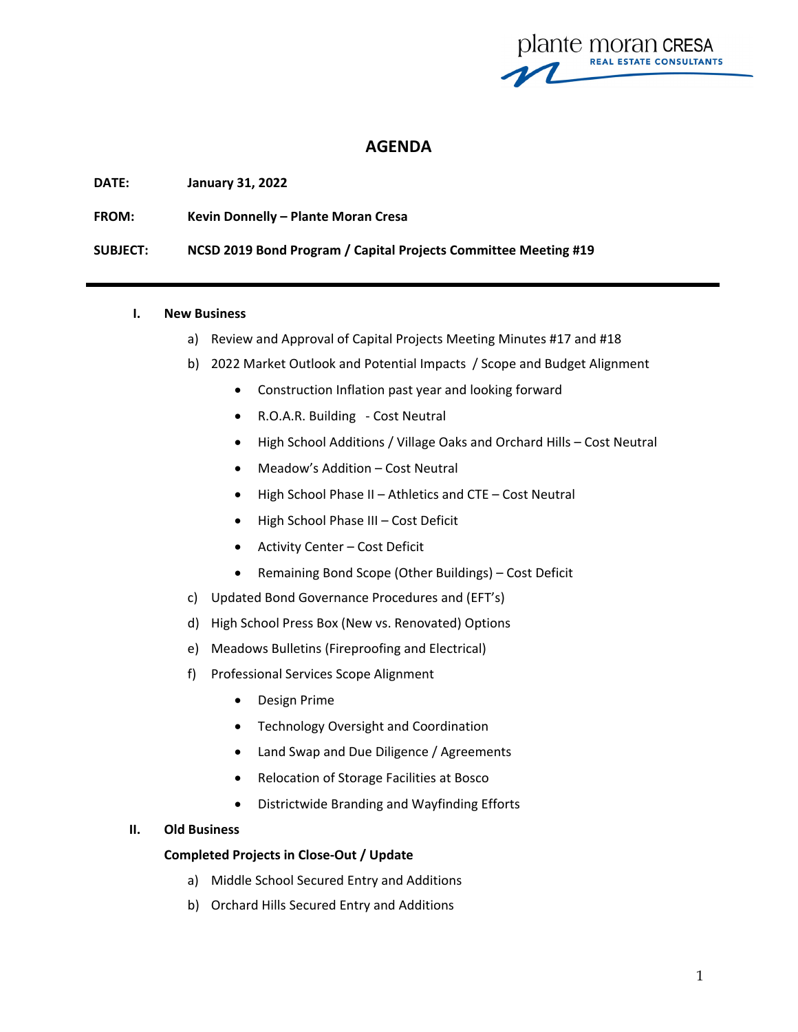plante moran cresa **REAL ESTATE CONSULTANTS** 

# **AGENDA**

**DATE: January 31, 2022**

**FROM: Kevin Donnelly – Plante Moran Cresa** 

**SUBJECT: NCSD 2019 Bond Program / Capital Projects Committee Meeting #19**

#### **I. New Business**

- a) Review and Approval of Capital Projects Meeting Minutes #17 and #18
- b) 2022 Market Outlook and Potential Impacts / Scope and Budget Alignment
	- Construction Inflation past year and looking forward
	- R.O.A.R. Building ‐ Cost Neutral
	- High School Additions / Village Oaks and Orchard Hills Cost Neutral
	- Meadow's Addition Cost Neutral
	- High School Phase II Athletics and CTE Cost Neutral
	- High School Phase III Cost Deficit
	- Activity Center Cost Deficit
	- Remaining Bond Scope (Other Buildings) Cost Deficit
- c) Updated Bond Governance Procedures and (EFT's)
- d) High School Press Box (New vs. Renovated) Options
- e) Meadows Bulletins (Fireproofing and Electrical)
- f) Professional Services Scope Alignment
	- Design Prime
	- **•** Technology Oversight and Coordination
	- Land Swap and Due Diligence / Agreements
	- Relocation of Storage Facilities at Bosco
	- Districtwide Branding and Wayfinding Efforts

### **II. Old Business**

### **Completed Projects in Close‐Out / Update**

- a) Middle School Secured Entry and Additions
- b) Orchard Hills Secured Entry and Additions